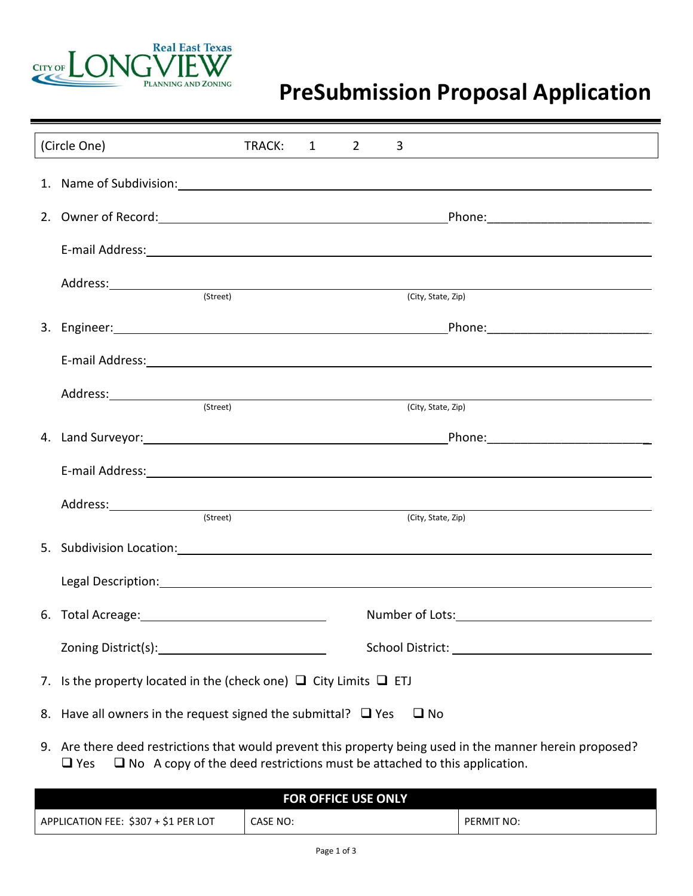

## **PreSubmission Proposal Application**

| (Circle One)                                                                                                                                                                                                                  | TRACK: | 1 | $\overline{2}$ | 3                                                                                                                                                                                                                                    |  |
|-------------------------------------------------------------------------------------------------------------------------------------------------------------------------------------------------------------------------------|--------|---|----------------|--------------------------------------------------------------------------------------------------------------------------------------------------------------------------------------------------------------------------------------|--|
|                                                                                                                                                                                                                               |        |   |                | 1. Name of Subdivision: 2008 and 2008 and 2008 and 2008 and 2008 and 2008 and 2008 and 2008 and 2008 and 2008 and 2008 and 2008 and 2008 and 2008 and 2008 and 2008 and 2008 and 2008 and 2008 and 2008 and 2008 and 2008 and        |  |
|                                                                                                                                                                                                                               |        |   |                |                                                                                                                                                                                                                                      |  |
|                                                                                                                                                                                                                               |        |   |                |                                                                                                                                                                                                                                      |  |
| Address: (Street)                                                                                                                                                                                                             |        |   |                | (City, State, Zip)                                                                                                                                                                                                                   |  |
|                                                                                                                                                                                                                               |        |   |                |                                                                                                                                                                                                                                      |  |
|                                                                                                                                                                                                                               |        |   |                |                                                                                                                                                                                                                                      |  |
| Address: (Street)                                                                                                                                                                                                             |        |   |                | (City, State, Zip)                                                                                                                                                                                                                   |  |
|                                                                                                                                                                                                                               |        |   |                |                                                                                                                                                                                                                                      |  |
|                                                                                                                                                                                                                               |        |   |                | E-mail Address: Note and the set of the set of the set of the set of the set of the set of the set of the set of the set of the set of the set of the set of the set of the set of the set of the set of the set of the set of       |  |
| (Street)                                                                                                                                                                                                                      |        |   |                |                                                                                                                                                                                                                                      |  |
| 5. Subdivision Location: Subdivision Contract on the Contract of the Contract of the Contract of the Contract of the Contract of the Contract of the Contract of the Contract of the Contract of the Contract of the Contract |        |   |                | (City, State, Zip)                                                                                                                                                                                                                   |  |
|                                                                                                                                                                                                                               |        |   |                | Legal Description: <u>contract the contract of the contract of the contract of the contract of the contract of the contract of the contract of the contract of the contract of the contract of the contract of the contract of t</u> |  |
|                                                                                                                                                                                                                               |        |   |                |                                                                                                                                                                                                                                      |  |
|                                                                                                                                                                                                                               |        |   |                |                                                                                                                                                                                                                                      |  |
| 7. Is the property located in the (check one) $\Box$ City Limits $\Box$ ETJ                                                                                                                                                   |        |   |                |                                                                                                                                                                                                                                      |  |
| 8. Have all owners in the request signed the submittal? $\Box$ Yes                                                                                                                                                            |        |   |                | $\square$ No                                                                                                                                                                                                                         |  |

9. Are there deed restrictions that would prevent this property being used in the manner herein proposed?  $\Box$  Yes  $\Box$  No A copy of the deed restrictions must be attached to this application.

| <b>FOR OFFICE USE ONLY</b>           |          |            |  |  |  |  |  |  |
|--------------------------------------|----------|------------|--|--|--|--|--|--|
| APPLICATION FEE: \$307 + \$1 PER LOT | CASE NO: | PERMIT NO: |  |  |  |  |  |  |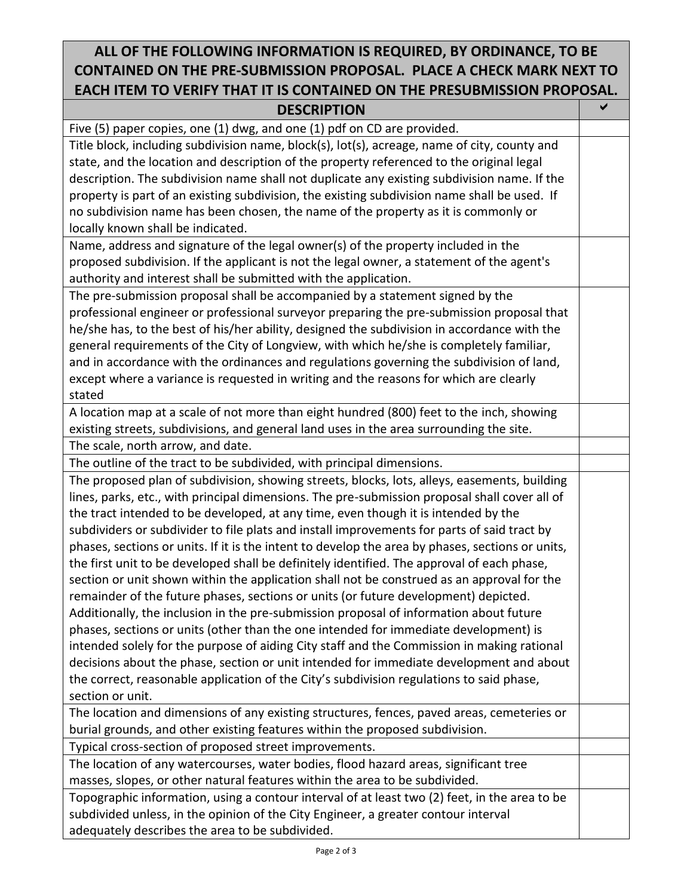## **ALL OF THE FOLLOWING INFORMATION IS REQUIRED, BY ORDINANCE, TO BE CONTAINED ON THE PRE-SUBMISSION PROPOSAL. PLACE A CHECK MARK NEXT TO EACH ITEM TO VERIFY THAT IT IS CONTAINED ON THE PRESUBMISSION PROPOSAL.**

| <b>DESCRIPTION</b>                                                                               | ✔ |
|--------------------------------------------------------------------------------------------------|---|
| Five (5) paper copies, one (1) dwg, and one (1) pdf on CD are provided.                          |   |
| Title block, including subdivision name, block(s), lot(s), acreage, name of city, county and     |   |
| state, and the location and description of the property referenced to the original legal         |   |
| description. The subdivision name shall not duplicate any existing subdivision name. If the      |   |
| property is part of an existing subdivision, the existing subdivision name shall be used. If     |   |
| no subdivision name has been chosen, the name of the property as it is commonly or               |   |
| locally known shall be indicated.                                                                |   |
| Name, address and signature of the legal owner(s) of the property included in the                |   |
| proposed subdivision. If the applicant is not the legal owner, a statement of the agent's        |   |
| authority and interest shall be submitted with the application.                                  |   |
| The pre-submission proposal shall be accompanied by a statement signed by the                    |   |
| professional engineer or professional surveyor preparing the pre-submission proposal that        |   |
| he/she has, to the best of his/her ability, designed the subdivision in accordance with the      |   |
| general requirements of the City of Longview, with which he/she is completely familiar,          |   |
| and in accordance with the ordinances and regulations governing the subdivision of land,         |   |
| except where a variance is requested in writing and the reasons for which are clearly            |   |
| stated                                                                                           |   |
| A location map at a scale of not more than eight hundred (800) feet to the inch, showing         |   |
| existing streets, subdivisions, and general land uses in the area surrounding the site.          |   |
| The scale, north arrow, and date.                                                                |   |
| The outline of the tract to be subdivided, with principal dimensions.                            |   |
| The proposed plan of subdivision, showing streets, blocks, lots, alleys, easements, building     |   |
| lines, parks, etc., with principal dimensions. The pre-submission proposal shall cover all of    |   |
| the tract intended to be developed, at any time, even though it is intended by the               |   |
| subdividers or subdivider to file plats and install improvements for parts of said tract by      |   |
| phases, sections or units. If it is the intent to develop the area by phases, sections or units, |   |
| the first unit to be developed shall be definitely identified. The approval of each phase,       |   |
| section or unit shown within the application shall not be construed as an approval for the       |   |
| remainder of the future phases, sections or units (or future development) depicted.              |   |
| Additionally, the inclusion in the pre-submission proposal of information about future           |   |
| phases, sections or units (other than the one intended for immediate development) is             |   |
| intended solely for the purpose of aiding City staff and the Commission in making rational       |   |
| decisions about the phase, section or unit intended for immediate development and about          |   |
| the correct, reasonable application of the City's subdivision regulations to said phase,         |   |
| section or unit.                                                                                 |   |
| The location and dimensions of any existing structures, fences, paved areas, cemeteries or       |   |
| burial grounds, and other existing features within the proposed subdivision.                     |   |
| Typical cross-section of proposed street improvements.                                           |   |
| The location of any watercourses, water bodies, flood hazard areas, significant tree             |   |
| masses, slopes, or other natural features within the area to be subdivided.                      |   |
| Topographic information, using a contour interval of at least two (2) feet, in the area to be    |   |
| subdivided unless, in the opinion of the City Engineer, a greater contour interval               |   |
| adequately describes the area to be subdivided.                                                  |   |